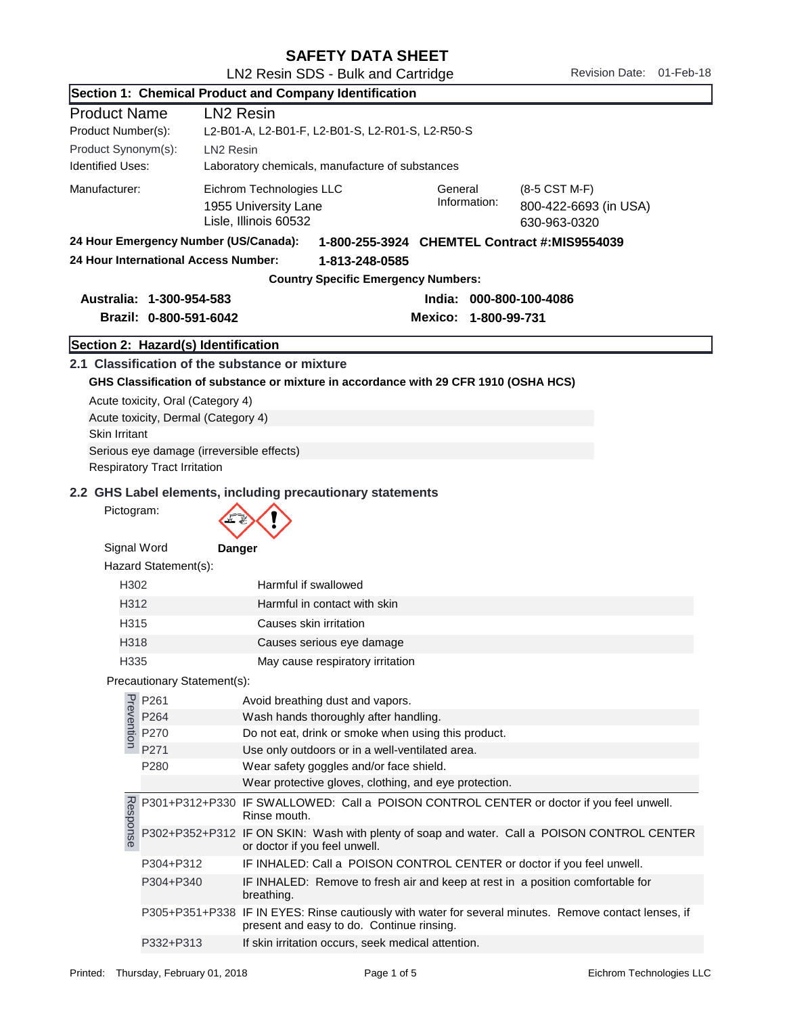|                                                                         |                                           | Live income ODO Dain and Oditinggo<br>Section 1: Chemical Product and Company Identification                                                                   |  |
|-------------------------------------------------------------------------|-------------------------------------------|----------------------------------------------------------------------------------------------------------------------------------------------------------------|--|
|                                                                         |                                           |                                                                                                                                                                |  |
| <b>Product Name</b><br><b>LN2 Resin</b>                                 |                                           | L2-B01-A, L2-B01-F, L2-B01-S, L2-R01-S, L2-R50-S                                                                                                               |  |
| Product Number(s):                                                      |                                           |                                                                                                                                                                |  |
| Product Synonym(s):<br>LN <sub>2</sub> Resin<br><b>Identified Uses:</b> |                                           | Laboratory chemicals, manufacture of substances                                                                                                                |  |
| Manufacturer:                                                           |                                           | Eichrom Technologies LLC<br>General<br>(8-5 CST M-F)<br>Information:<br>800-422-6693 (in USA)<br>1955 University Lane<br>Lisle, Illinois 60532<br>630-963-0320 |  |
|                                                                         | 24 Hour Emergency Number (US/Canada):     | 1-800-255-3924 CHEMTEL Contract #: MIS9554039                                                                                                                  |  |
|                                                                         | 24 Hour International Access Number:      | 1-813-248-0585<br><b>Country Specific Emergency Numbers:</b>                                                                                                   |  |
|                                                                         |                                           |                                                                                                                                                                |  |
|                                                                         | Australia: 1-300-954-583                  | India: 000-800-100-4086                                                                                                                                        |  |
|                                                                         | Brazil: 0-800-591-6042                    | Mexico: 1-800-99-731                                                                                                                                           |  |
|                                                                         | Section 2: Hazard(s) Identification       |                                                                                                                                                                |  |
|                                                                         |                                           | 2.1 Classification of the substance or mixture                                                                                                                 |  |
|                                                                         |                                           | GHS Classification of substance or mixture in accordance with 29 CFR 1910 (OSHA HCS)                                                                           |  |
|                                                                         | Acute toxicity, Oral (Category 4)         |                                                                                                                                                                |  |
|                                                                         | Acute toxicity, Dermal (Category 4)       |                                                                                                                                                                |  |
| <b>Skin Irritant</b>                                                    |                                           |                                                                                                                                                                |  |
|                                                                         | Serious eye damage (irreversible effects) |                                                                                                                                                                |  |
|                                                                         | <b>Respiratory Tract Irritation</b>       |                                                                                                                                                                |  |
|                                                                         |                                           | 2.2 GHS Label elements, including precautionary statements                                                                                                     |  |
| Pictogram:                                                              |                                           |                                                                                                                                                                |  |
| Signal Word                                                             | Hazard Statement(s):                      | Danger                                                                                                                                                         |  |
| H <sub>302</sub>                                                        |                                           | Harmful if swallowed                                                                                                                                           |  |
| H312                                                                    |                                           | Harmful in contact with skin                                                                                                                                   |  |
| H315                                                                    |                                           | Causes skin irritation                                                                                                                                         |  |
| H318                                                                    |                                           | Causes serious eye damage                                                                                                                                      |  |
| H335                                                                    |                                           | May cause respiratory irritation                                                                                                                               |  |
|                                                                         | Precautionary Statement(s):               |                                                                                                                                                                |  |
|                                                                         |                                           | Avoid breathing dust and vapors.                                                                                                                               |  |
|                                                                         | P261<br>P264<br>P264<br>P270<br>P271      | Wash hands thoroughly after handling.                                                                                                                          |  |
|                                                                         |                                           | Do not eat, drink or smoke when using this product.                                                                                                            |  |
|                                                                         | P271                                      | Use only outdoors or in a well-ventilated area.                                                                                                                |  |
|                                                                         | P280                                      | Wear safety goggles and/or face shield.                                                                                                                        |  |
|                                                                         |                                           | Wear protective gloves, clothing, and eye protection.                                                                                                          |  |
|                                                                         |                                           | P301+P312+P330 IF SWALLOWED: Call a POISON CONTROL CENTER or doctor if you feel unwell.<br>Rinse mouth.                                                        |  |
| Response                                                                |                                           | P302+P352+P312 IF ON SKIN: Wash with plenty of soap and water. Call a POISON CONTROL CENTER<br>or doctor if you feel unwell.                                   |  |
|                                                                         | P304+P312                                 | IF INHALED: Call a POISON CONTROL CENTER or doctor if you feel unwell.                                                                                         |  |
|                                                                         | P304+P340                                 | IF INHALED: Remove to fresh air and keep at rest in a position comfortable for<br>breathing.                                                                   |  |
|                                                                         |                                           | P305+P351+P338 IF IN EYES: Rinse cautiously with water for several minutes. Remove contact lenses, if<br>present and easy to do. Continue rinsing.             |  |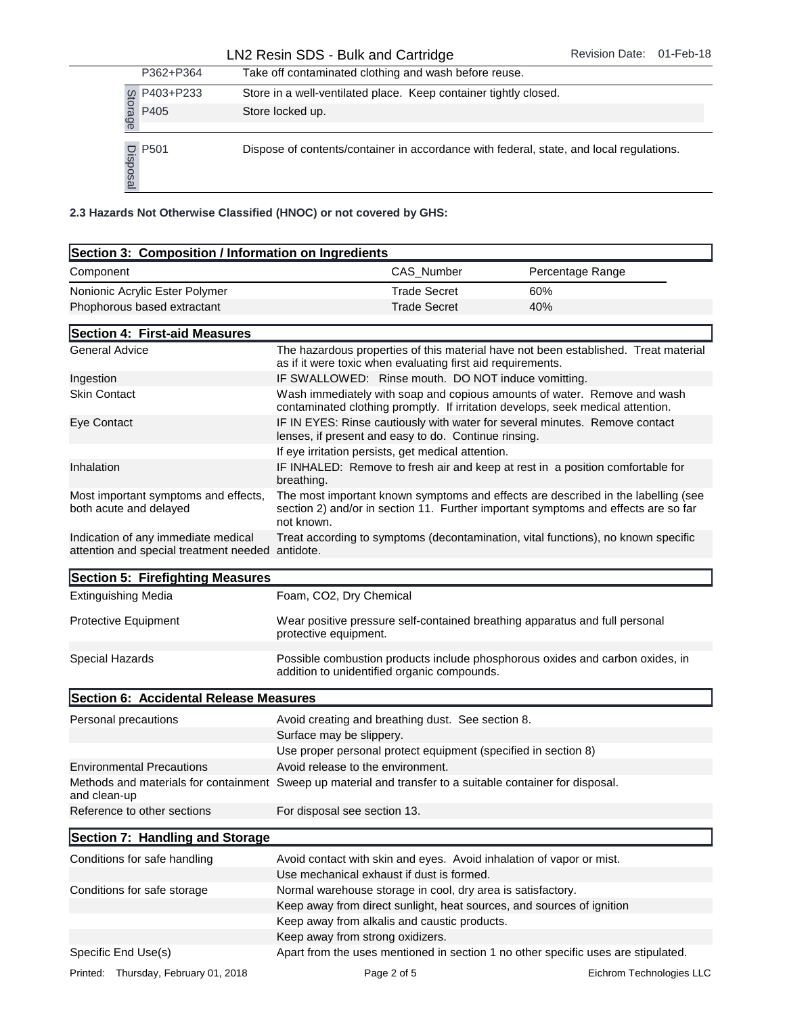|           |              | P362+P364                      | Take off contaminated clothing and wash before reuse.              |                     |                                                                                         |
|-----------|--------------|--------------------------------|--------------------------------------------------------------------|---------------------|-----------------------------------------------------------------------------------------|
|           |              | P403+P233                      | Store in a well-ventilated place. Keep container tightly closed.   |                     |                                                                                         |
|           | Storage      | P405                           | Store locked up.                                                   |                     |                                                                                         |
|           | Dispos.<br>ഇ | P501                           |                                                                    |                     | Dispose of contents/container in accordance with federal, state, and local regulations. |
|           |              |                                | 2.3 Hazards Not Otherwise Classified (HNOC) or not covered by GHS: |                     |                                                                                         |
|           |              |                                | Section 3: Composition / Information on Ingredients                |                     |                                                                                         |
| Component |              |                                |                                                                    | CAS Number          | Percentage Range                                                                        |
|           |              | Nonionic Acrylic Ester Polymer |                                                                    | <b>Trade Secret</b> | 60%                                                                                     |
|           |              | Phophorous based extractant    |                                                                    | <b>Trade Secret</b> | 40%                                                                                     |

| Section 3: Composition / Information on Ingredients                                                        |                                                                                                                                     |                                                                                                                                                                         |
|------------------------------------------------------------------------------------------------------------|-------------------------------------------------------------------------------------------------------------------------------------|-------------------------------------------------------------------------------------------------------------------------------------------------------------------------|
| Component                                                                                                  | CAS_Number                                                                                                                          | Percentage Range                                                                                                                                                        |
|                                                                                                            | <b>Trade Secret</b>                                                                                                                 | 60%                                                                                                                                                                     |
| Nonionic Acrylic Ester Polymer<br>Phophorous based extractant                                              | <b>Trade Secret</b>                                                                                                                 | 40%                                                                                                                                                                     |
|                                                                                                            |                                                                                                                                     |                                                                                                                                                                         |
| Section 4: First-aid Measures                                                                              |                                                                                                                                     |                                                                                                                                                                         |
| <b>General Advice</b>                                                                                      | as if it were toxic when evaluating first aid requirements.                                                                         | The hazardous properties of this material have not been established. Treat material                                                                                     |
| Ingestion                                                                                                  | IF SWALLOWED: Rinse mouth. DO NOT induce vomitting.                                                                                 |                                                                                                                                                                         |
| <b>Skin Contact</b>                                                                                        | contaminated clothing promptly. If irritation develops, seek medical attention.                                                     | Wash immediately with soap and copious amounts of water. Remove and wash                                                                                                |
| Eye Contact                                                                                                | IF IN EYES: Rinse cautiously with water for several minutes. Remove contact<br>lenses, if present and easy to do. Continue rinsing. |                                                                                                                                                                         |
|                                                                                                            | If eye irritation persists, get medical attention.                                                                                  |                                                                                                                                                                         |
| Inhalation                                                                                                 | breathing.                                                                                                                          | IF INHALED: Remove to fresh air and keep at rest in a position comfortable for                                                                                          |
| Most important symptoms and effects,<br>both acute and delayed                                             | not known.                                                                                                                          | The most important known symptoms and effects are described in the labelling (see<br>section 2) and/or in section 11. Further important symptoms and effects are so far |
| Indication of any immediate medical<br>attention and special treatment needed antidote.                    |                                                                                                                                     | Treat according to symptoms (decontamination, vital functions), no known specific                                                                                       |
| Section 5: Firefighting Measures                                                                           |                                                                                                                                     |                                                                                                                                                                         |
| <b>Extinguishing Media</b>                                                                                 | Foam, CO2, Dry Chemical                                                                                                             |                                                                                                                                                                         |
| Protective Equipment                                                                                       | Wear positive pressure self-contained breathing apparatus and full personal<br>protective equipment.                                |                                                                                                                                                                         |
| Special Hazards                                                                                            | addition to unidentified organic compounds.                                                                                         | Possible combustion products include phosphorous oxides and carbon oxides, in                                                                                           |
| Section 6: Accidental Release Measures                                                                     |                                                                                                                                     |                                                                                                                                                                         |
| Personal precautions                                                                                       | Avoid creating and breathing dust. See section 8.                                                                                   |                                                                                                                                                                         |
|                                                                                                            | Surface may be slippery.                                                                                                            |                                                                                                                                                                         |
|                                                                                                            | Use proper personal protect equipment (specified in section 8)                                                                      |                                                                                                                                                                         |
| <b>Environmental Precautions</b>                                                                           | Avoid release to the environment.                                                                                                   |                                                                                                                                                                         |
| Methods and materials for containment Sweep up material and transfer to a suitable container for disposal. |                                                                                                                                     |                                                                                                                                                                         |
| and clean-up<br>Reference to other sections                                                                | For disposal see section 13.                                                                                                        |                                                                                                                                                                         |
| Section 7: Handling and Storage                                                                            |                                                                                                                                     |                                                                                                                                                                         |
| Conditions for safe handling                                                                               | Avoid contact with skin and eyes. Avoid inhalation of vapor or mist.                                                                |                                                                                                                                                                         |
|                                                                                                            | Use mechanical exhaust if dust is formed.                                                                                           |                                                                                                                                                                         |
| Conditions for safe storage                                                                                | Normal warehouse storage in cool, dry area is satisfactory.                                                                         |                                                                                                                                                                         |
|                                                                                                            | Keep away from direct sunlight, heat sources, and sources of ignition                                                               |                                                                                                                                                                         |
|                                                                                                            | Keep away from alkalis and caustic products.                                                                                        |                                                                                                                                                                         |
|                                                                                                            | Keep away from strong oxidizers.                                                                                                    |                                                                                                                                                                         |
| Specific End Use(s)                                                                                        |                                                                                                                                     | Apart from the uses mentioned in section 1 no other specific uses are stipulated.                                                                                       |
| Printed: Thursday, February 01, 2018                                                                       | Page 2 of 5                                                                                                                         | Eichrom Technologies LLC                                                                                                                                                |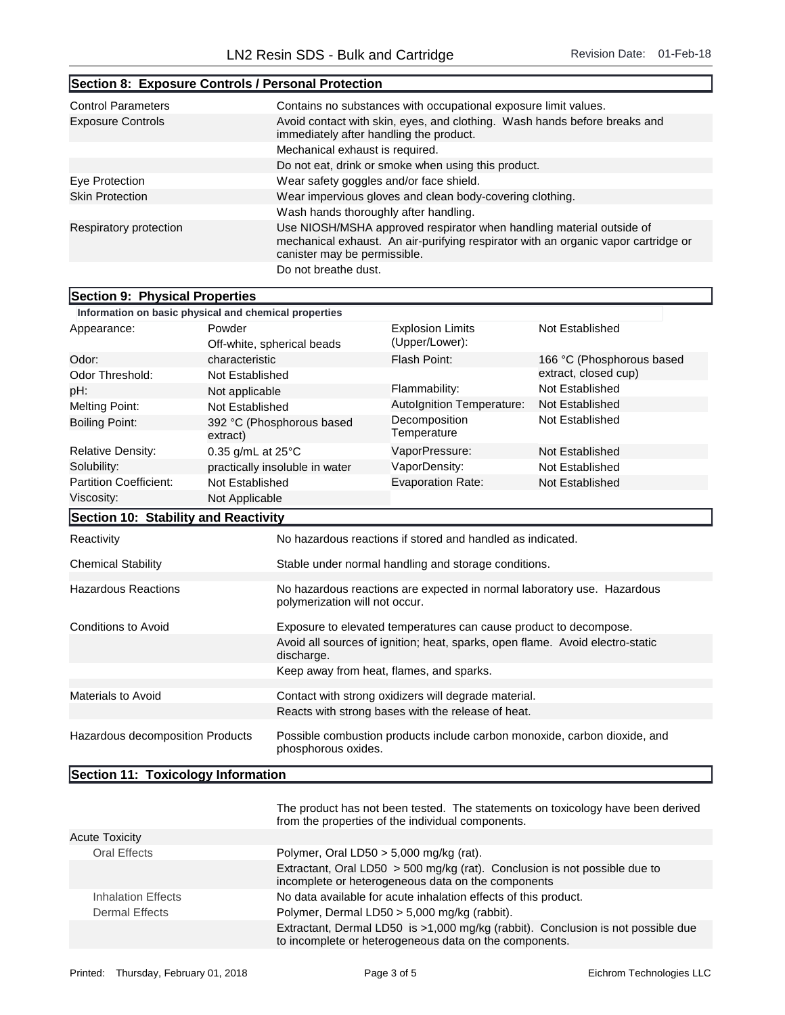T.

| Section 8: Exposure Controls / Personal Protection |                                                                                                                                                                                            |  |
|----------------------------------------------------|--------------------------------------------------------------------------------------------------------------------------------------------------------------------------------------------|--|
| <b>Control Parameters</b>                          | Contains no substances with occupational exposure limit values.                                                                                                                            |  |
| <b>Exposure Controls</b>                           | Avoid contact with skin, eyes, and clothing. Wash hands before breaks and<br>immediately after handling the product.                                                                       |  |
|                                                    | Mechanical exhaust is required.                                                                                                                                                            |  |
|                                                    | Do not eat, drink or smoke when using this product.                                                                                                                                        |  |
| Eye Protection                                     | Wear safety goggles and/or face shield.                                                                                                                                                    |  |
| <b>Skin Protection</b>                             | Wear impervious gloves and clean body-covering clothing.                                                                                                                                   |  |
|                                                    | Wash hands thoroughly after handling.                                                                                                                                                      |  |
| Respiratory protection                             | Use NIOSH/MSHA approved respirator when handling material outside of<br>mechanical exhaust. An air-purifying respirator with an organic vapor cartridge or<br>canister may be permissible. |  |
|                                                    | Do not breathe dust.                                                                                                                                                                       |  |

## Section 9: Physical Properties Information on basic physical and chemical properties Appearance: Powder Off-white, spherical beads Odor: characteristic Flash Point: 166 °C (Phosphorous based Explosion Limits (Upper/Lower): Not Established

| Odor Threshold:                          | <b>Not Established</b>      |                                                                                                           |                                                                               | extract, closed cup)   |
|------------------------------------------|-----------------------------|-----------------------------------------------------------------------------------------------------------|-------------------------------------------------------------------------------|------------------------|
| pH:<br>Not applicable                    |                             |                                                                                                           | Flammability:                                                                 | <b>Not Established</b> |
| Not Established<br><b>Melting Point:</b> |                             |                                                                                                           | Autolgnition Temperature:                                                     | Not Established        |
| <b>Boiling Point:</b>                    | extract)                    | 392 °C (Phosphorous based                                                                                 | Decomposition<br>Temperature                                                  | Not Established        |
| <b>Relative Density:</b>                 | 0.35 g/mL at $25^{\circ}$ C |                                                                                                           | VaporPressure:                                                                | Not Established        |
| Solubility:                              |                             | practically insoluble in water                                                                            | VaporDensity:                                                                 | Not Established        |
| <b>Partition Coefficient:</b>            | Not Established             |                                                                                                           | <b>Evaporation Rate:</b>                                                      | Not Established        |
| Viscosity:                               | Not Applicable              |                                                                                                           |                                                                               |                        |
| Section 10: Stability and Reactivity     |                             |                                                                                                           |                                                                               |                        |
| Reactivity                               |                             |                                                                                                           | No hazardous reactions if stored and handled as indicated.                    |                        |
| <b>Chemical Stability</b>                |                             | Stable under normal handling and storage conditions.                                                      |                                                                               |                        |
| <b>Hazardous Reactions</b>               |                             | No hazardous reactions are expected in normal laboratory use. Hazardous<br>polymerization will not occur. |                                                                               |                        |
| <b>Conditions to Avoid</b>               |                             | Exposure to elevated temperatures can cause product to decompose.                                         |                                                                               |                        |
|                                          |                             | discharge.                                                                                                | Avoid all sources of ignition; heat, sparks, open flame. Avoid electro-static |                        |
|                                          |                             | Keep away from heat, flames, and sparks.                                                                  |                                                                               |                        |
| Materials to Avoid                       |                             |                                                                                                           | Contact with strong oxidizers will degrade material.                          |                        |
|                                          |                             | Reacts with strong bases with the release of heat.                                                        |                                                                               |                        |
| Hazardous decomposition Products         |                             | Possible combustion products include carbon monoxide, carbon dioxide, and<br>phosphorous oxides.          |                                                                               |                        |

Section 11: Toxicology Information

|                       | The product has not been tested. The statements on toxicology have been derived<br>from the properties of the individual components.       |
|-----------------------|--------------------------------------------------------------------------------------------------------------------------------------------|
| <b>Acute Toxicity</b> |                                                                                                                                            |
| Oral Effects          | Polymer, Oral LD50 $>$ 5,000 mg/kg (rat).                                                                                                  |
|                       | Extractant, Oral LD50 > 500 mg/kg (rat). Conclusion is not possible due to<br>incomplete or heterogeneous data on the components           |
| Inhalation Effects    | No data available for acute inhalation effects of this product.                                                                            |
| Dermal Effects        | Polymer, Dermal LD50 > 5,000 mg/kg (rabbit).                                                                                               |
|                       | Extractant, Dermal LD50 is >1,000 mg/kg (rabbit). Conclusion is not possible due<br>to incomplete or heterogeneous data on the components. |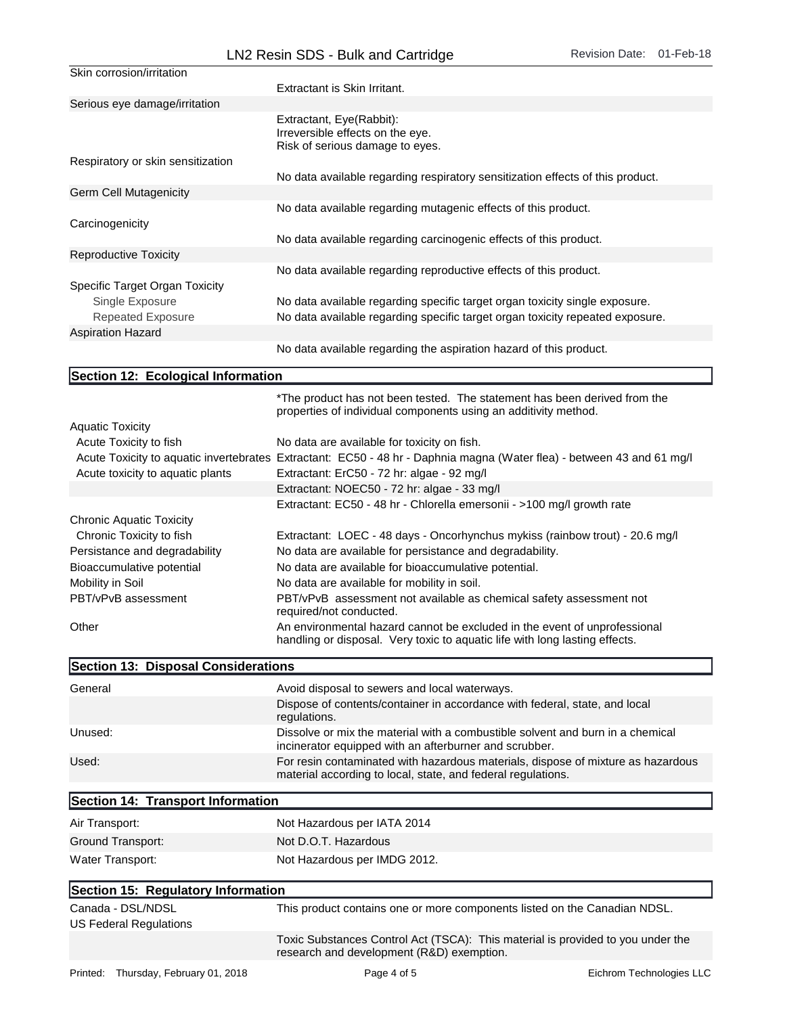| Skin corrosion/irritation                   |                                                                                                                                                              |
|---------------------------------------------|--------------------------------------------------------------------------------------------------------------------------------------------------------------|
|                                             | Extractant is Skin Irritant.                                                                                                                                 |
| Serious eye damage/irritation               |                                                                                                                                                              |
|                                             | Extractant, Eye(Rabbit):<br>Irreversible effects on the eye.<br>Risk of serious damage to eyes.                                                              |
| Respiratory or skin sensitization           |                                                                                                                                                              |
|                                             | No data available regarding respiratory sensitization effects of this product.                                                                               |
| Germ Cell Mutagenicity                      |                                                                                                                                                              |
|                                             | No data available regarding mutagenic effects of this product.                                                                                               |
| Carcinogenicity                             |                                                                                                                                                              |
|                                             | No data available regarding carcinogenic effects of this product.                                                                                            |
| Reproductive Toxicity                       |                                                                                                                                                              |
|                                             | No data available regarding reproductive effects of this product.                                                                                            |
| Specific Target Organ Toxicity              |                                                                                                                                                              |
| Single Exposure<br><b>Repeated Exposure</b> | No data available regarding specific target organ toxicity single exposure.<br>No data available regarding specific target organ toxicity repeated exposure. |
|                                             |                                                                                                                                                              |
| <b>Aspiration Hazard</b>                    |                                                                                                                                                              |
|                                             | No data available regarding the aspiration hazard of this product.                                                                                           |

## Section 12: Ecological Information

|                                  | *The product has not been tested. The statement has been derived from the<br>properties of individual components using an additivity method.             |
|----------------------------------|----------------------------------------------------------------------------------------------------------------------------------------------------------|
| <b>Aquatic Toxicity</b>          |                                                                                                                                                          |
| Acute Toxicity to fish           | No data are available for toxicity on fish.                                                                                                              |
|                                  | Acute Toxicity to aquatic invertebrates Extractant: EC50 - 48 hr - Daphnia magna (Water flea) - between 43 and 61 mg/l                                   |
| Acute toxicity to aquatic plants | Extractant: ErC50 - 72 hr: algae - 92 mg/l                                                                                                               |
|                                  | Extractant: NOEC50 - 72 hr: algae - 33 mg/l                                                                                                              |
|                                  | Extractant: EC50 - 48 hr - Chlorella emersonii - >100 mg/l growth rate                                                                                   |
| <b>Chronic Aquatic Toxicity</b>  |                                                                                                                                                          |
| Chronic Toxicity to fish         | Extractant: LOEC - 48 days - Oncorhynchus mykiss (rainbow trout) - 20.6 mg/l                                                                             |
| Persistance and degradability    | No data are available for persistance and degradability.                                                                                                 |
| Bioaccumulative potential        | No data are available for bioaccumulative potential.                                                                                                     |
| Mobility in Soil                 | No data are available for mobility in soil.                                                                                                              |
| PBT/vPvB assessment              | PBT/vPvB assessment not available as chemical safety assessment not<br>required/not conducted.                                                           |
| Other                            | An environmental hazard cannot be excluded in the event of unprofessional<br>handling or disposal. Very toxic to aquatic life with long lasting effects. |

| Section 13: Disposal Considerations |                                                                                                                                                  |
|-------------------------------------|--------------------------------------------------------------------------------------------------------------------------------------------------|
| General                             | Avoid disposal to sewers and local waterways.                                                                                                    |
|                                     | Dispose of contents/container in accordance with federal, state, and local<br>regulations.                                                       |
| Unused:                             | Dissolve or mix the material with a combustible solvent and burn in a chemical<br>incinerator equipped with an afterburner and scrubber.         |
| Used:                               | For resin contaminated with hazardous materials, dispose of mixture as hazardous<br>material according to local, state, and federal regulations. |
| Section 14: Transport Information   |                                                                                                                                                  |

| Air Transport:    | Not Hazardous per IATA 2014  |
|-------------------|------------------------------|
| Ground Transport: | Not D.O.T. Hazardous         |
| Water Transport:  | Not Hazardous per IMDG 2012. |

## Section 15: Regulatory Information

| Canada - DSL/NDSL<br>US Federal Regulations | This product contains one or more components listed on the Canadian NDSL.                                                    |
|---------------------------------------------|------------------------------------------------------------------------------------------------------------------------------|
|                                             | Toxic Substances Control Act (TSCA): This material is provided to you under the<br>research and development (R&D) exemption. |